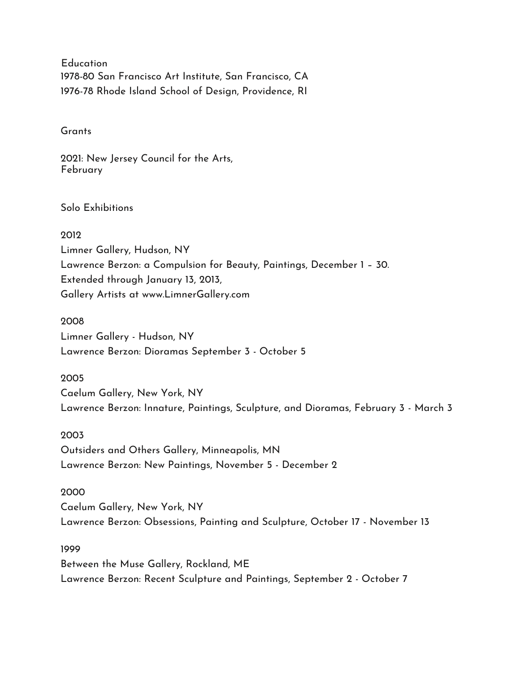**Education** 1978-80 San Francisco Art Institute, San Francisco, CA 1976-78 Rhode Island School of Design, Providence, RI

**Grants** 

2021: New Jersey Council for the Arts, February

Solo Exhibitions

2012 Limner Gallery, Hudson, NY Lawrence Berzon: a Compulsion for Beauty, Paintings, December 1 – 30. Extended through January 13, 2013, Gallery Artists at www.LimnerGallery.com

2008 Limner Gallery - Hudson, NY Lawrence Berzon: Dioramas September 3 - October 5

2005 Caelum Gallery, New York, NY Lawrence Berzon: Innature, Paintings, Sculpture, and Dioramas, February 3 - March 3

2003 Outsiders and Others Gallery, Minneapolis, MN Lawrence Berzon: New Paintings, November 5 - December 2

2000 Caelum Gallery, New York, NY Lawrence Berzon: Obsessions, Painting and Sculpture, October 17 - November 13

1999 Between the Muse Gallery, Rockland, ME Lawrence Berzon: Recent Sculpture and Paintings, September 2 - October 7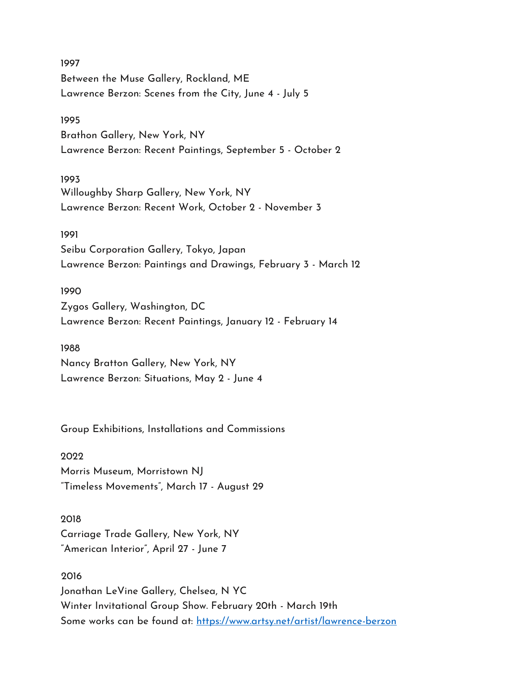1997 Between the Muse Gallery, Rockland, ME Lawrence Berzon: Scenes from the City, June 4 - July 5

#### 1995

Brathon Gallery, New York, NY Lawrence Berzon: Recent Paintings, September 5 - October 2

## 1993

Willoughby Sharp Gallery, New York, NY Lawrence Berzon: Recent Work, October 2 - November 3

## 1991

Seibu Corporation Gallery, Tokyo, Japan Lawrence Berzon: Paintings and Drawings, February 3 - March 12

## 1990

Zygos Gallery, Washington, DC Lawrence Berzon: Recent Paintings, January 12 - February 14

# 1988

Nancy Bratton Gallery, New York, NY Lawrence Berzon: Situations, May 2 - June 4

Group Exhibitions, Installations and Commissions

# 2022

Morris Museum, Morristown NJ "Timeless Movements", March 17 - August 29

# 2018

Carriage Trade Gallery, New York, NY "American Interior", April 27 - June 7

## 2016

Jonathan LeVine Gallery, Chelsea, N YC Winter Invitational Group Show. February 20th - March 19th Some works can be found at:<https://www.artsy.net/artist/lawrence-berzon>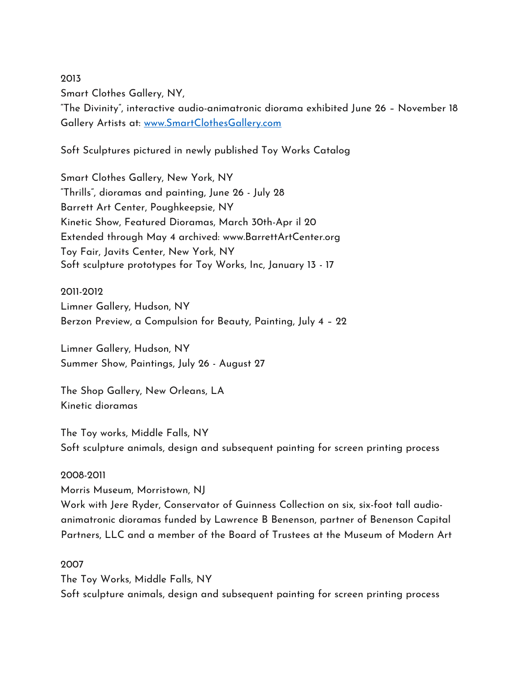Smart Clothes Gallery, NY,

"The Divinity", interactive audio-animatronic diorama exhibited June 26 – November 18 Gallery Artists at: [www.SmartClothesGallery.com](http://www.smartclothesgallery.com/)

Soft Sculptures pictured in newly published Toy Works Catalog

Smart Clothes Gallery, New York, NY "Thrills", dioramas and painting, June 26 - July 28 Barrett Art Center, Poughkeepsie, NY Kinetic Show, Featured Dioramas, March 30th-Apr il 20 Extended through May 4 archived: www.BarrettArtCenter.org Toy Fair, Javits Center, New York, NY Soft sculpture prototypes for Toy Works, Inc, January 13 - 17

2011-2012 Limner Gallery, Hudson, NY Berzon Preview, a Compulsion for Beauty, Painting, July 4 – 22

Limner Gallery, Hudson, NY Summer Show, Paintings, July 26 - August 27

The Shop Gallery, New Orleans, LA Kinetic dioramas

The Toy works, Middle Falls, NY Soft sculpture animals, design and subsequent painting for screen printing process

## 2008-2011

2013

Morris Museum, Morristown, NJ Work with Jere Ryder, Conservator of Guinness Collection on six, six-foot tall audioanimatronic dioramas funded by Lawrence B Benenson, partner of Benenson Capital Partners, LLC and a member of the Board of Trustees at the Museum of Modern Art

## 2007

The Toy Works, Middle Falls, NY Soft sculpture animals, design and subsequent painting for screen printing process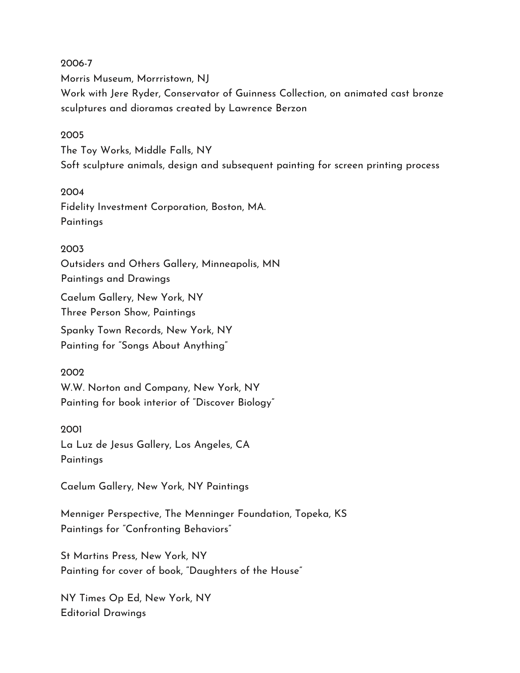2006-7 Morris Museum, Morrristown, NJ Work with Jere Ryder, Conservator of Guinness Collection, on animated cast bronze sculptures and dioramas created by Lawrence Berzon

#### 2005

The Toy Works, Middle Falls, NY Soft sculpture animals, design and subsequent painting for screen printing process

#### 2004

Fidelity Investment Corporation, Boston, MA. **Paintings** 

#### 2003

Outsiders and Others Gallery, Minneapolis, MN

Paintings and Drawings

Caelum Gallery, New York, NY Three Person Show, Paintings

Spanky Town Records, New York, NY Painting for "Songs About Anything"

#### 2002

W.W. Norton and Company, New York, NY Painting for book interior of "Discover Biology"

# 2001

La Luz de Jesus Gallery, Los Angeles, CA **Paintings** 

Caelum Gallery, New York, NY Paintings

Menniger Perspective, The Menninger Foundation, Topeka, KS Paintings for "Confronting Behaviors"

St Martins Press, New York, NY Painting for cover of book, "Daughters of the House"

NY Times Op Ed, New York, NY Editorial Drawings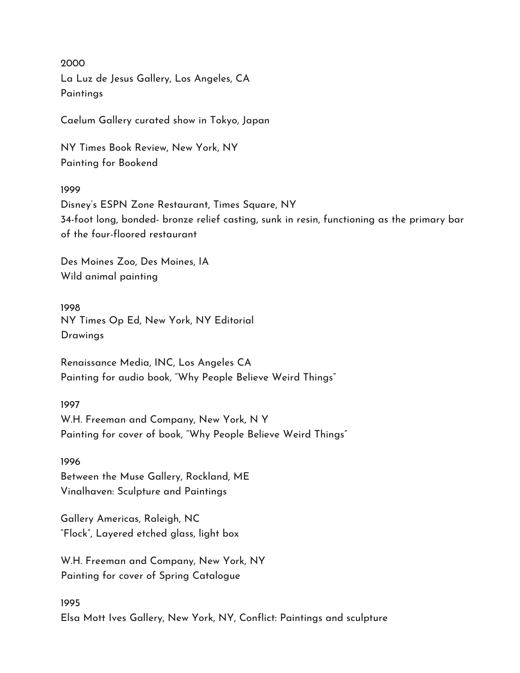2000 La Luz de Jesus Gallery, Los Angeles, CA **Paintings** 

Caelum Gallery curated show in Tokyo, Japan

NY Times Book Review, New York, NY Painting for Bookend

### 1999

Disney's ESPN Zone Restaurant, Times Square, NY 34-foot long, bonded- bronze relief casting, sunk in resin, functioning as the primary bar of the four-floored restaurant

Des Moines Zoo, Des Moines, IA Wild animal painting

1998 NY Times Op Ed, New York, NY Editorial Drawings

Renaissance Media, INC, Los Angeles CA Painting for audio book, "Why People Believe Weird Things"

1997 W.H. Freeman and Company, New York, N Y Painting for cover of book, "Why People Believe Weird Things"

1996 Between the Muse Gallery, Rockland, ME Vinalhaven: Sculpture and Paintings

Gallery Americas, Raleigh, NC "Flock", Layered etched glass, light box

W.H. Freeman and Company, New York, NY Painting for cover of Spring Catalogue

## 1995

Elsa Mott Ives Gallery, New York, NY, Conflict: Paintings and sculpture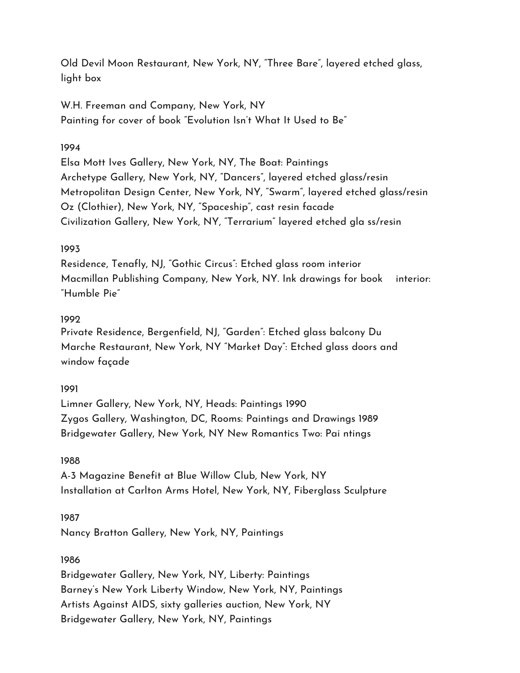Old Devil Moon Restaurant, New York, NY, "Three Bare", layered etched glass, light box

W.H. Freeman and Company, New York, NY Painting for cover of book "Evolution Isn't What It Used to Be"

# 1994

Elsa Mott Ives Gallery, New York, NY, The Boat: Paintings Archetype Gallery, New York, NY, "Dancers", layered etched glass/resin Metropolitan Design Center, New York, NY, "Swarm", layered etched glass/resin Oz (Clothier), New York, NY, "Spaceship", cast resin facade Civilization Gallery, New York, NY, "Terrarium" layered etched gla ss/resin

# 1993

Residence, Tenafly, NJ, "Gothic Circus": Etched glass room interior Macmillan Publishing Company, New York, NY. Ink drawings for book interior: "Humble Pie"

# 1992

Private Residence, Bergenfield, NJ, "Garden": Etched glass balcony Du Marche Restaurant, New York, NY "Market Day": Etched glass doors and window façade

# 1991

Limner Gallery, New York, NY, Heads: Paintings 1990 Zygos Gallery, Washington, DC, Rooms: Paintings and Drawings 1989 Bridgewater Gallery, New York, NY New Romantics Two: Pai ntings

# 1988

A-3 Magazine Benefit at Blue Willow Club, New York, NY Installation at Carlton Arms Hotel, New York, NY, Fiberglass Sculpture

# 1987

Nancy Bratton Gallery, New York, NY, Paintings

# 1986

Bridgewater Gallery, New York, NY, Liberty: Paintings Barney's New York Liberty Window, New York, NY, Paintings Artists Against AIDS, sixty galleries auction, New York, NY Bridgewater Gallery, New York, NY, Paintings